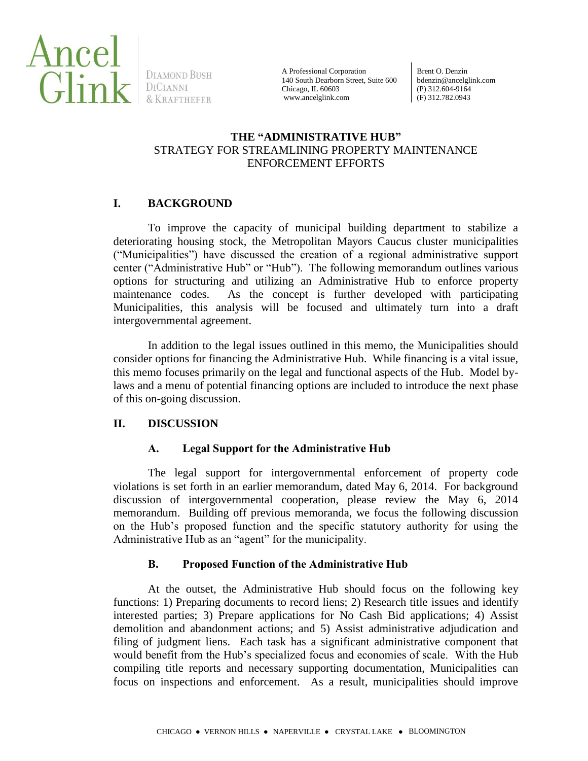

DIAMOND BUSH

A Professional Corporation 140 South Dearborn Street, Suite 600 Chicago, IL 60603 www.ancelglink.com

Brent O. Denzin bdenzin@ancelglink.com (P) 312.604-9164 (F) 312.782.0943

## **THE "ADMINISTRATIVE HUB"** STRATEGY FOR STREAMLINING PROPERTY MAINTENANCE ENFORCEMENT EFFORTS

# **I. BACKGROUND**

To improve the capacity of municipal building department to stabilize a deteriorating housing stock, the Metropolitan Mayors Caucus cluster municipalities ("Municipalities") have discussed the creation of a regional administrative support center ("Administrative Hub" or "Hub"). The following memorandum outlines various options for structuring and utilizing an Administrative Hub to enforce property maintenance codes. As the concept is further developed with participating Municipalities, this analysis will be focused and ultimately turn into a draft intergovernmental agreement.

In addition to the legal issues outlined in this memo, the Municipalities should consider options for financing the Administrative Hub. While financing is a vital issue, this memo focuses primarily on the legal and functional aspects of the Hub. Model bylaws and a menu of potential financing options are included to introduce the next phase of this on-going discussion.

# **II. DISCUSSION**

# **A. Legal Support for the Administrative Hub**

The legal support for intergovernmental enforcement of property code violations is set forth in an earlier memorandum, dated May 6, 2014. For background discussion of intergovernmental cooperation, please review the May 6, 2014 memorandum. Building off previous memoranda, we focus the following discussion on the Hub's proposed function and the specific statutory authority for using the Administrative Hub as an "agent" for the municipality.

# **B. Proposed Function of the Administrative Hub**

At the outset, the Administrative Hub should focus on the following key functions: 1) Preparing documents to record liens; 2) Research title issues and identify interested parties; 3) Prepare applications for No Cash Bid applications; 4) Assist demolition and abandonment actions; and 5) Assist administrative adjudication and filing of judgment liens. Each task has a significant administrative component that would benefit from the Hub's specialized focus and economies of scale. With the Hub compiling title reports and necessary supporting documentation, Municipalities can focus on inspections and enforcement. As a result, municipalities should improve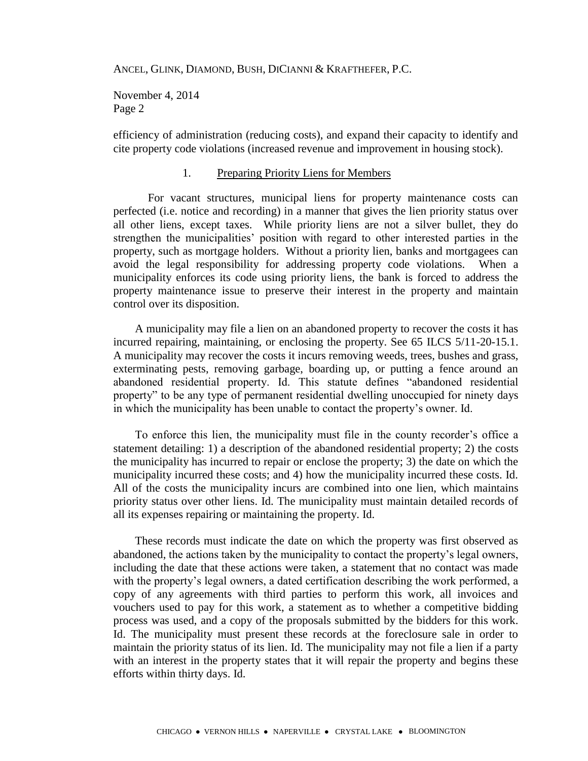November 4, 2014 Page 2

efficiency of administration (reducing costs), and expand their capacity to identify and cite property code violations (increased revenue and improvement in housing stock).

#### 1. Preparing Priority Liens for Members

For vacant structures, municipal liens for property maintenance costs can perfected (i.e. notice and recording) in a manner that gives the lien priority status over all other liens, except taxes. While priority liens are not a silver bullet, they do strengthen the municipalities' position with regard to other interested parties in the property, such as mortgage holders. Without a priority lien, banks and mortgagees can avoid the legal responsibility for addressing property code violations. When a municipality enforces its code using priority liens, the bank is forced to address the property maintenance issue to preserve their interest in the property and maintain control over its disposition.

A municipality may file a lien on an abandoned property to recover the costs it has incurred repairing, maintaining, or enclosing the property. See 65 ILCS 5/11-20-15.1. A municipality may recover the costs it incurs removing weeds, trees, bushes and grass, exterminating pests, removing garbage, boarding up, or putting a fence around an abandoned residential property. Id. This statute defines "abandoned residential property" to be any type of permanent residential dwelling unoccupied for ninety days in which the municipality has been unable to contact the property's owner. Id.

To enforce this lien, the municipality must file in the county recorder's office a statement detailing: 1) a description of the abandoned residential property; 2) the costs the municipality has incurred to repair or enclose the property; 3) the date on which the municipality incurred these costs; and 4) how the municipality incurred these costs. Id. All of the costs the municipality incurs are combined into one lien, which maintains priority status over other liens. Id. The municipality must maintain detailed records of all its expenses repairing or maintaining the property. Id.

These records must indicate the date on which the property was first observed as abandoned, the actions taken by the municipality to contact the property's legal owners, including the date that these actions were taken, a statement that no contact was made with the property's legal owners, a dated certification describing the work performed, a copy of any agreements with third parties to perform this work, all invoices and vouchers used to pay for this work, a statement as to whether a competitive bidding process was used, and a copy of the proposals submitted by the bidders for this work. Id. The municipality must present these records at the foreclosure sale in order to maintain the priority status of its lien. Id. The municipality may not file a lien if a party with an interest in the property states that it will repair the property and begins these efforts within thirty days. Id.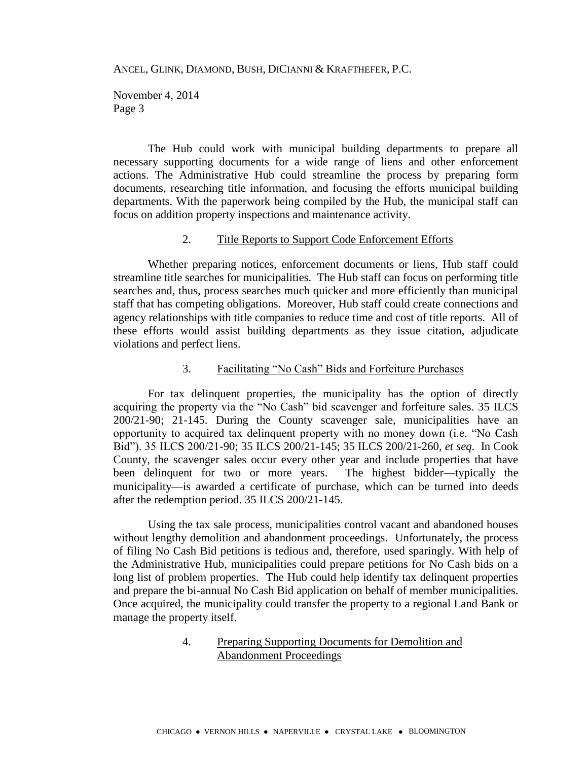November 4, 2014 Page 3

The Hub could work with municipal building departments to prepare all necessary supporting documents for a wide range of liens and other enforcement actions. The Administrative Hub could streamline the process by preparing form documents, researching title information, and focusing the efforts municipal building departments. With the paperwork being compiled by the Hub, the municipal staff can focus on addition property inspections and maintenance activity.

## 2. Title Reports to Support Code Enforcement Efforts

Whether preparing notices, enforcement documents or liens, Hub staff could streamline title searches for municipalities. The Hub staff can focus on performing title searches and, thus, process searches much quicker and more efficiently than municipal staff that has competing obligations. Moreover, Hub staff could create connections and agency relationships with title companies to reduce time and cost of title reports. All of these efforts would assist building departments as they issue citation, adjudicate violations and perfect liens.

#### 3. Facilitating "No Cash" Bids and Forfeiture Purchases

For tax delinquent properties, the municipality has the option of directly acquiring the property via the "No Cash" bid scavenger and forfeiture sales. 35 ILCS 200/21-90; 21-145. During the County scavenger sale, municipalities have an opportunity to acquired tax delinquent property with no money down (i.e. "No Cash Bid"). 35 ILCS 200/21-90; 35 ILCS 200/21-145; 35 ILCS 200/21-260, *et seq*. In Cook County, the scavenger sales occur every other year and include properties that have been delinquent for two or more years. The highest bidder—typically the municipality—is awarded a certificate of purchase, which can be turned into deeds after the redemption period. 35 ILCS 200/21-145.

Using the tax sale process, municipalities control vacant and abandoned houses without lengthy demolition and abandonment proceedings. Unfortunately, the process of filing No Cash Bid petitions is tedious and, therefore, used sparingly. With help of the Administrative Hub, municipalities could prepare petitions for No Cash bids on a long list of problem properties. The Hub could help identify tax delinquent properties and prepare the bi-annual No Cash Bid application on behalf of member municipalities. Once acquired, the municipality could transfer the property to a regional Land Bank or manage the property itself.

## 4. Preparing Supporting Documents for Demolition and Abandonment Proceedings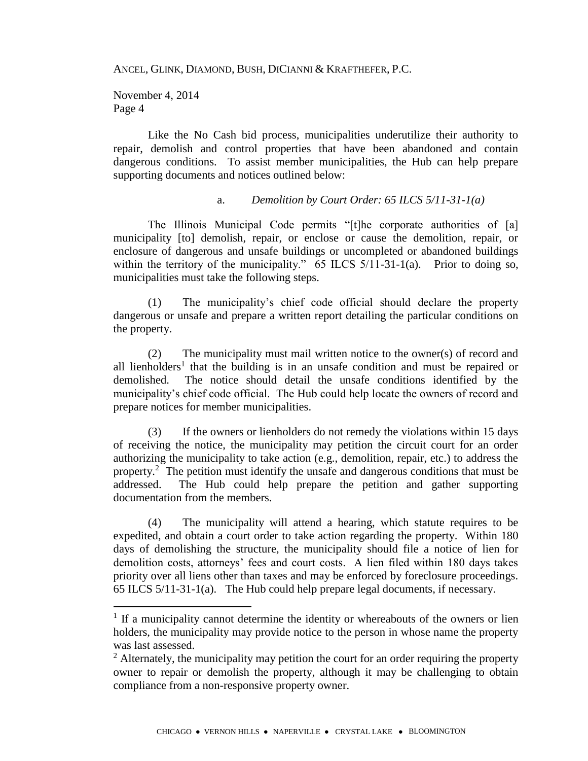November 4, 2014 Page 4

 $\overline{a}$ 

Like the No Cash bid process, municipalities underutilize their authority to repair, demolish and control properties that have been abandoned and contain dangerous conditions. To assist member municipalities, the Hub can help prepare supporting documents and notices outlined below:

### a. *Demolition by Court Order: 65 ILCS 5/11-31-1(a)*

The Illinois Municipal Code permits "[t]he corporate authorities of [a] municipality [to] demolish, repair, or enclose or cause the demolition, repair, or enclosure of dangerous and unsafe buildings or uncompleted or abandoned buildings within the territory of the municipality." 65 ILCS 5/11-31-1(a). Prior to doing so, municipalities must take the following steps.

(1) The municipality's chief code official should declare the property dangerous or unsafe and prepare a written report detailing the particular conditions on the property.

(2) The municipality must mail written notice to the owner(s) of record and all lienholders<sup>1</sup> that the building is in an unsafe condition and must be repaired or demolished. The notice should detail the unsafe conditions identified by the municipality's chief code official. The Hub could help locate the owners of record and prepare notices for member municipalities.

(3) If the owners or lienholders do not remedy the violations within 15 days of receiving the notice, the municipality may petition the circuit court for an order authorizing the municipality to take action (e.g., demolition, repair, etc.) to address the property.<sup>2</sup> The petition must identify the unsafe and dangerous conditions that must be addressed. The Hub could help prepare the petition and gather supporting documentation from the members.

(4) The municipality will attend a hearing, which statute requires to be expedited, and obtain a court order to take action regarding the property. Within 180 days of demolishing the structure, the municipality should file a notice of lien for demolition costs, attorneys' fees and court costs. A lien filed within 180 days takes priority over all liens other than taxes and may be enforced by foreclosure proceedings. 65 ILCS 5/11-31-1(a). The Hub could help prepare legal documents, if necessary.

<sup>&</sup>lt;sup>1</sup> If a municipality cannot determine the identity or whereabouts of the owners or lien holders, the municipality may provide notice to the person in whose name the property was last assessed.

 $2$  Alternately, the municipality may petition the court for an order requiring the property owner to repair or demolish the property, although it may be challenging to obtain compliance from a non-responsive property owner.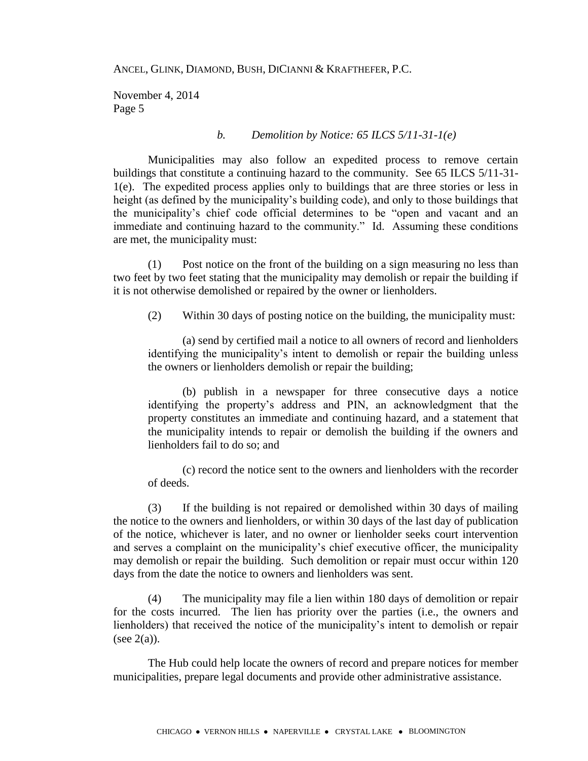November 4, 2014 Page 5

#### *b. Demolition by Notice: 65 ILCS 5/11-31-1(e)*

Municipalities may also follow an expedited process to remove certain buildings that constitute a continuing hazard to the community. See 65 ILCS 5/11-31- 1(e). The expedited process applies only to buildings that are three stories or less in height (as defined by the municipality's building code), and only to those buildings that the municipality's chief code official determines to be "open and vacant and an immediate and continuing hazard to the community." Id. Assuming these conditions are met, the municipality must:

(1) Post notice on the front of the building on a sign measuring no less than two feet by two feet stating that the municipality may demolish or repair the building if it is not otherwise demolished or repaired by the owner or lienholders.

(2) Within 30 days of posting notice on the building, the municipality must:

(a) send by certified mail a notice to all owners of record and lienholders identifying the municipality's intent to demolish or repair the building unless the owners or lienholders demolish or repair the building;

(b) publish in a newspaper for three consecutive days a notice identifying the property's address and PIN, an acknowledgment that the property constitutes an immediate and continuing hazard, and a statement that the municipality intends to repair or demolish the building if the owners and lienholders fail to do so; and

(c) record the notice sent to the owners and lienholders with the recorder of deeds.

(3) If the building is not repaired or demolished within 30 days of mailing the notice to the owners and lienholders, or within 30 days of the last day of publication of the notice, whichever is later, and no owner or lienholder seeks court intervention and serves a complaint on the municipality's chief executive officer, the municipality may demolish or repair the building. Such demolition or repair must occur within 120 days from the date the notice to owners and lienholders was sent.

(4) The municipality may file a lien within 180 days of demolition or repair for the costs incurred. The lien has priority over the parties (i.e., the owners and lienholders) that received the notice of the municipality's intent to demolish or repair (see  $2(a)$ ).

The Hub could help locate the owners of record and prepare notices for member municipalities, prepare legal documents and provide other administrative assistance.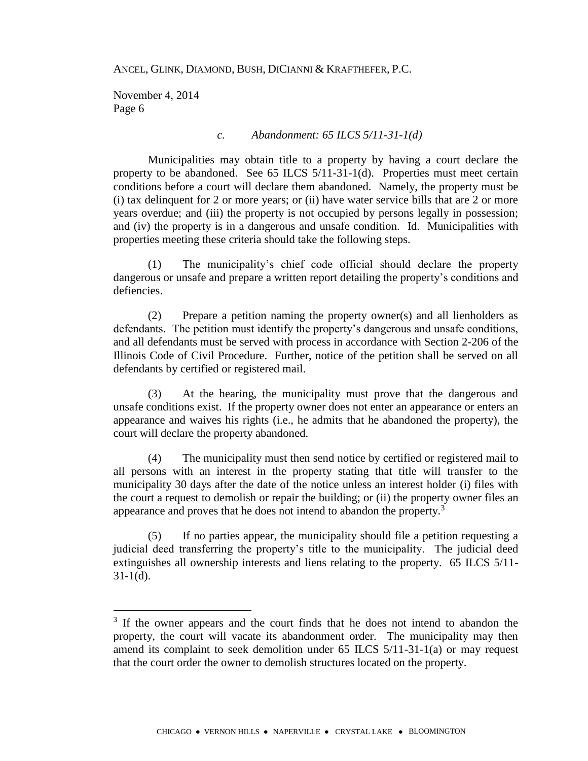November 4, 2014 Page 6

 $\overline{a}$ 

#### *c. Abandonment: 65 ILCS 5/11-31-1(d)*

Municipalities may obtain title to a property by having a court declare the property to be abandoned. See 65 ILCS 5/11-31-1(d). Properties must meet certain conditions before a court will declare them abandoned. Namely, the property must be (i) tax delinquent for 2 or more years; or (ii) have water service bills that are 2 or more years overdue; and (iii) the property is not occupied by persons legally in possession; and (iv) the property is in a dangerous and unsafe condition. Id. Municipalities with properties meeting these criteria should take the following steps.

(1) The municipality's chief code official should declare the property dangerous or unsafe and prepare a written report detailing the property's conditions and defiencies.

(2) Prepare a petition naming the property owner(s) and all lienholders as defendants. The petition must identify the property's dangerous and unsafe conditions, and all defendants must be served with process in accordance with Section 2-206 of the Illinois Code of Civil Procedure. Further, notice of the petition shall be served on all defendants by certified or registered mail.

(3) At the hearing, the municipality must prove that the dangerous and unsafe conditions exist. If the property owner does not enter an appearance or enters an appearance and waives his rights (i.e., he admits that he abandoned the property), the court will declare the property abandoned.

(4) The municipality must then send notice by certified or registered mail to all persons with an interest in the property stating that title will transfer to the municipality 30 days after the date of the notice unless an interest holder (i) files with the court a request to demolish or repair the building; or (ii) the property owner files an appearance and proves that he does not intend to abandon the property. $3$ 

(5) If no parties appear, the municipality should file a petition requesting a judicial deed transferring the property's title to the municipality. The judicial deed extinguishes all ownership interests and liens relating to the property. 65 ILCS 5/11-  $31-1(d)$ .

<sup>&</sup>lt;sup>3</sup> If the owner appears and the court finds that he does not intend to abandon the property, the court will vacate its abandonment order. The municipality may then amend its complaint to seek demolition under 65 ILCS 5/11-31-1(a) or may request that the court order the owner to demolish structures located on the property.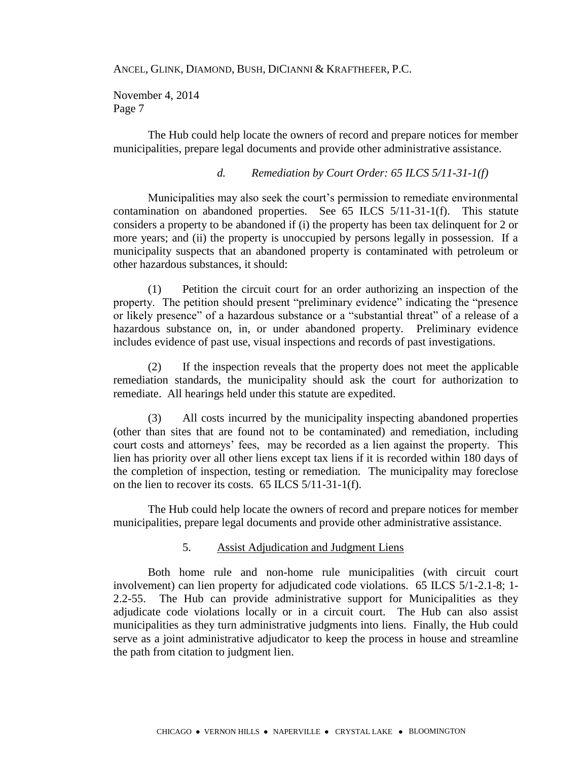November 4, 2014 Page 7

The Hub could help locate the owners of record and prepare notices for member municipalities, prepare legal documents and provide other administrative assistance.

### *d. Remediation by Court Order: 65 ILCS 5/11-31-1(f)*

Municipalities may also seek the court's permission to remediate environmental contamination on abandoned properties. See 65 ILCS 5/11-31-1(f). This statute considers a property to be abandoned if (i) the property has been tax delinquent for 2 or more years; and (ii) the property is unoccupied by persons legally in possession. If a municipality suspects that an abandoned property is contaminated with petroleum or other hazardous substances, it should:

(1) Petition the circuit court for an order authorizing an inspection of the property. The petition should present "preliminary evidence" indicating the "presence or likely presence" of a hazardous substance or a "substantial threat" of a release of a hazardous substance on, in, or under abandoned property. Preliminary evidence includes evidence of past use, visual inspections and records of past investigations.

(2) If the inspection reveals that the property does not meet the applicable remediation standards, the municipality should ask the court for authorization to remediate. All hearings held under this statute are expedited.

(3) All costs incurred by the municipality inspecting abandoned properties (other than sites that are found not to be contaminated) and remediation, including court costs and attorneys' fees, may be recorded as a lien against the property. This lien has priority over all other liens except tax liens if it is recorded within 180 days of the completion of inspection, testing or remediation. The municipality may foreclose on the lien to recover its costs. 65 ILCS 5/11-31-1(f).

The Hub could help locate the owners of record and prepare notices for member municipalities, prepare legal documents and provide other administrative assistance.

## 5. Assist Adjudication and Judgment Liens

Both home rule and non-home rule municipalities (with circuit court involvement) can lien property for adjudicated code violations. 65 ILCS 5/1-2.1-8; 1- 2.2-55. The Hub can provide administrative support for Municipalities as they adjudicate code violations locally or in a circuit court. The Hub can also assist municipalities as they turn administrative judgments into liens. Finally, the Hub could serve as a joint administrative adjudicator to keep the process in house and streamline the path from citation to judgment lien.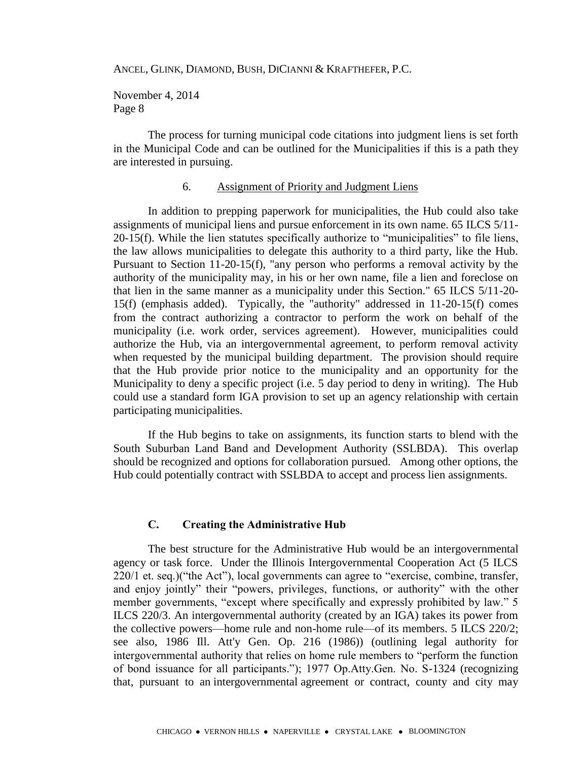November 4, 2014 Page 8

The process for turning municipal code citations into judgment liens is set forth in the Municipal Code and can be outlined for the Municipalities if this is a path they are interested in pursuing.

#### 6. Assignment of Priority and Judgment Liens

In addition to prepping paperwork for municipalities, the Hub could also take assignments of municipal liens and pursue enforcement in its own name. 65 ILCS 5/11- 20-15(f). While the lien statutes specifically authorize to "municipalities" to file liens, the law allows municipalities to delegate this authority to a third party, like the Hub. Pursuant to Section 11-20-15(f), "any person who performs a removal activity by the authority of the municipality may, in his or her own name, file a lien and foreclose on that lien in the same manner as a municipality under this Section." 65 ILCS 5/11-20- 15(f) (emphasis added). Typically, the "authority" addressed in 11-20-15(f) comes from the contract authorizing a contractor to perform the work on behalf of the municipality (i.e. work order, services agreement). However, municipalities could authorize the Hub, via an intergovernmental agreement, to perform removal activity when requested by the municipal building department. The provision should require that the Hub provide prior notice to the municipality and an opportunity for the Municipality to deny a specific project (i.e. 5 day period to deny in writing). The Hub could use a standard form IGA provision to set up an agency relationship with certain participating municipalities.

If the Hub begins to take on assignments, its function starts to blend with the South Suburban Land Band and Development Authority (SSLBDA). This overlap should be recognized and options for collaboration pursued. Among other options, the Hub could potentially contract with SSLBDA to accept and process lien assignments.

### **C. Creating the Administrative Hub**

The best structure for the Administrative Hub would be an intergovernmental agency or task force. Under the Illinois Intergovernmental Cooperation Act (5 ILCS 220/1 et. seq.)("the Act"), local governments can agree to "exercise, combine, transfer, and enjoy jointly" their "powers, privileges, functions, or authority" with the other member governments, "except where specifically and expressly prohibited by law." 5 ILCS 220/3. An intergovernmental authority (created by an IGA) takes its power from the collective powers—home rule and non-home rule—of its members. 5 ILCS 220/2; see also, 1986 Ill. Att'y Gen. Op. 216 (1986)) (outlining legal authority for intergovernmental authority that relies on home rule members to "perform the function of bond issuance for all participants."); 1977 Op.Atty.Gen. No. S-1324 (recognizing that, pursuant to an intergovernmental agreement or contract, county and city may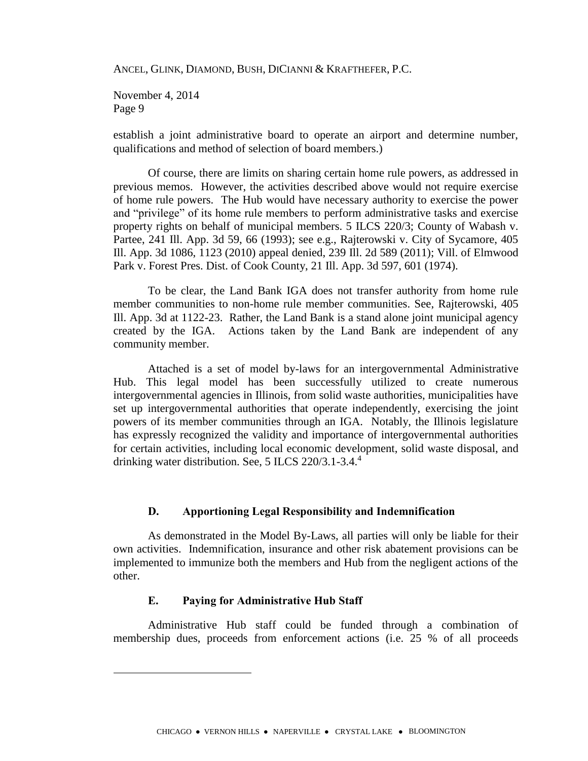November 4, 2014 Page 9

establish a joint administrative board to operate an airport and determine number, qualifications and method of selection of board members.)

Of course, there are limits on sharing certain home rule powers, as addressed in previous memos. However, the activities described above would not require exercise of home rule powers. The Hub would have necessary authority to exercise the power and "privilege" of its home rule members to perform administrative tasks and exercise property rights on behalf of municipal members. 5 ILCS 220/3; County of Wabash v. Partee, 241 Ill. App. 3d 59, 66 (1993); see e.g., Rajterowski v. City of Sycamore, 405 Ill. App. 3d 1086, 1123 (2010) appeal denied, 239 Ill. 2d 589 (2011); Vill. of Elmwood Park v. Forest Pres. Dist. of Cook County, 21 Ill. App. 3d 597, 601 (1974).

To be clear, the Land Bank IGA does not transfer authority from home rule member communities to non-home rule member communities. See, Rajterowski, 405 Ill. App. 3d at 1122-23. Rather, the Land Bank is a stand alone joint municipal agency created by the IGA. Actions taken by the Land Bank are independent of any community member.

Attached is a set of model by-laws for an intergovernmental Administrative Hub. This legal model has been successfully utilized to create numerous intergovernmental agencies in Illinois, from solid waste authorities, municipalities have set up intergovernmental authorities that operate independently, exercising the joint powers of its member communities through an IGA. Notably, the Illinois legislature has expressly recognized the validity and importance of intergovernmental authorities for certain activities, including local economic development, solid waste disposal, and drinking water distribution. See, 5 ILCS 220/3.1-3.4.<sup>4</sup>

### **D. Apportioning Legal Responsibility and Indemnification**

As demonstrated in the Model By-Laws, all parties will only be liable for their own activities. Indemnification, insurance and other risk abatement provisions can be implemented to immunize both the members and Hub from the negligent actions of the other.

#### **E. Paying for Administrative Hub Staff**

 $\overline{a}$ 

Administrative Hub staff could be funded through a combination of membership dues, proceeds from enforcement actions (i.e. 25 % of all proceeds